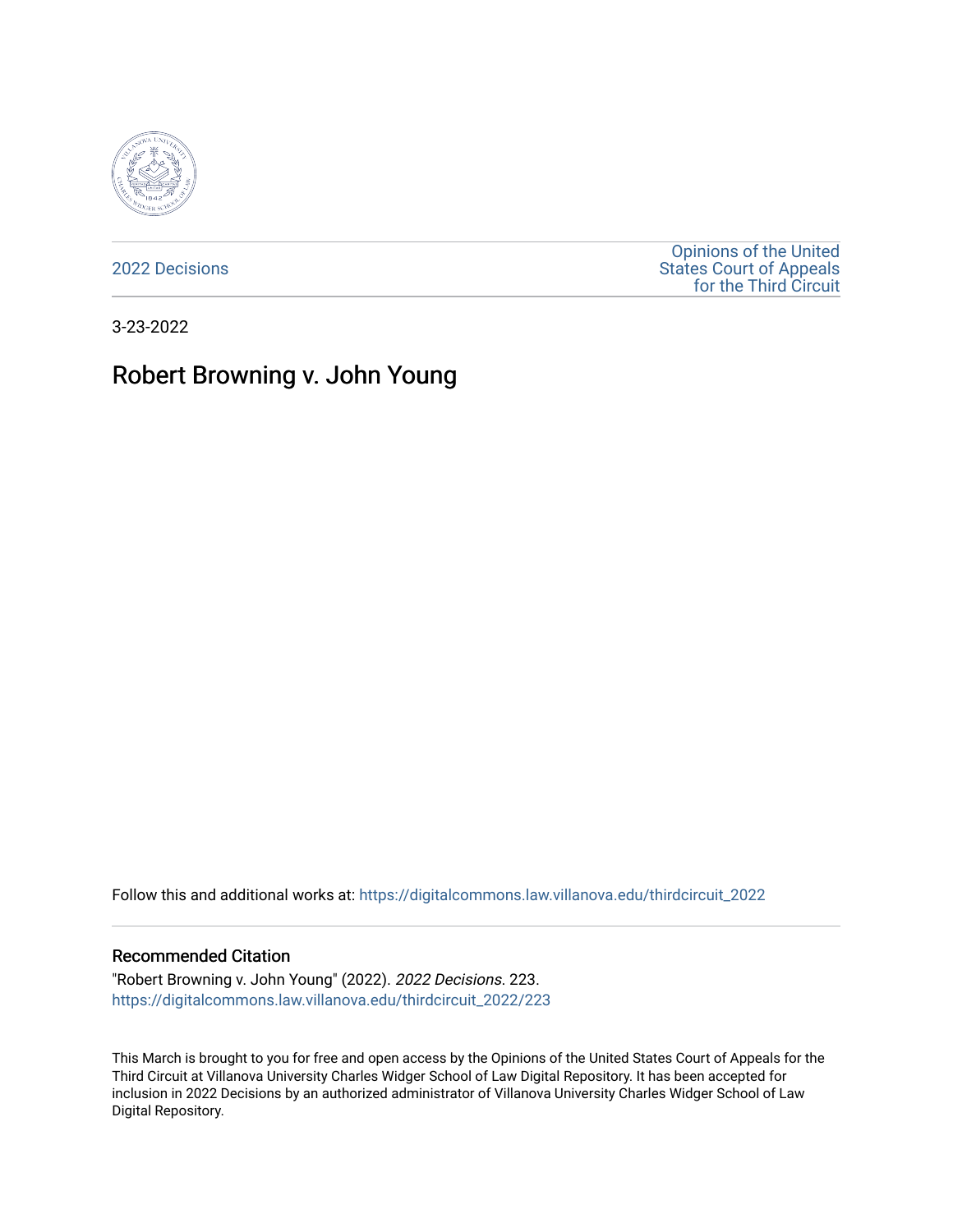

[2022 Decisions](https://digitalcommons.law.villanova.edu/thirdcircuit_2022)

[Opinions of the United](https://digitalcommons.law.villanova.edu/thirdcircuit)  [States Court of Appeals](https://digitalcommons.law.villanova.edu/thirdcircuit)  [for the Third Circuit](https://digitalcommons.law.villanova.edu/thirdcircuit) 

3-23-2022

# Robert Browning v. John Young

Follow this and additional works at: [https://digitalcommons.law.villanova.edu/thirdcircuit\\_2022](https://digitalcommons.law.villanova.edu/thirdcircuit_2022?utm_source=digitalcommons.law.villanova.edu%2Fthirdcircuit_2022%2F223&utm_medium=PDF&utm_campaign=PDFCoverPages) 

#### Recommended Citation

"Robert Browning v. John Young" (2022). 2022 Decisions. 223. [https://digitalcommons.law.villanova.edu/thirdcircuit\\_2022/223](https://digitalcommons.law.villanova.edu/thirdcircuit_2022/223?utm_source=digitalcommons.law.villanova.edu%2Fthirdcircuit_2022%2F223&utm_medium=PDF&utm_campaign=PDFCoverPages)

This March is brought to you for free and open access by the Opinions of the United States Court of Appeals for the Third Circuit at Villanova University Charles Widger School of Law Digital Repository. It has been accepted for inclusion in 2022 Decisions by an authorized administrator of Villanova University Charles Widger School of Law Digital Repository.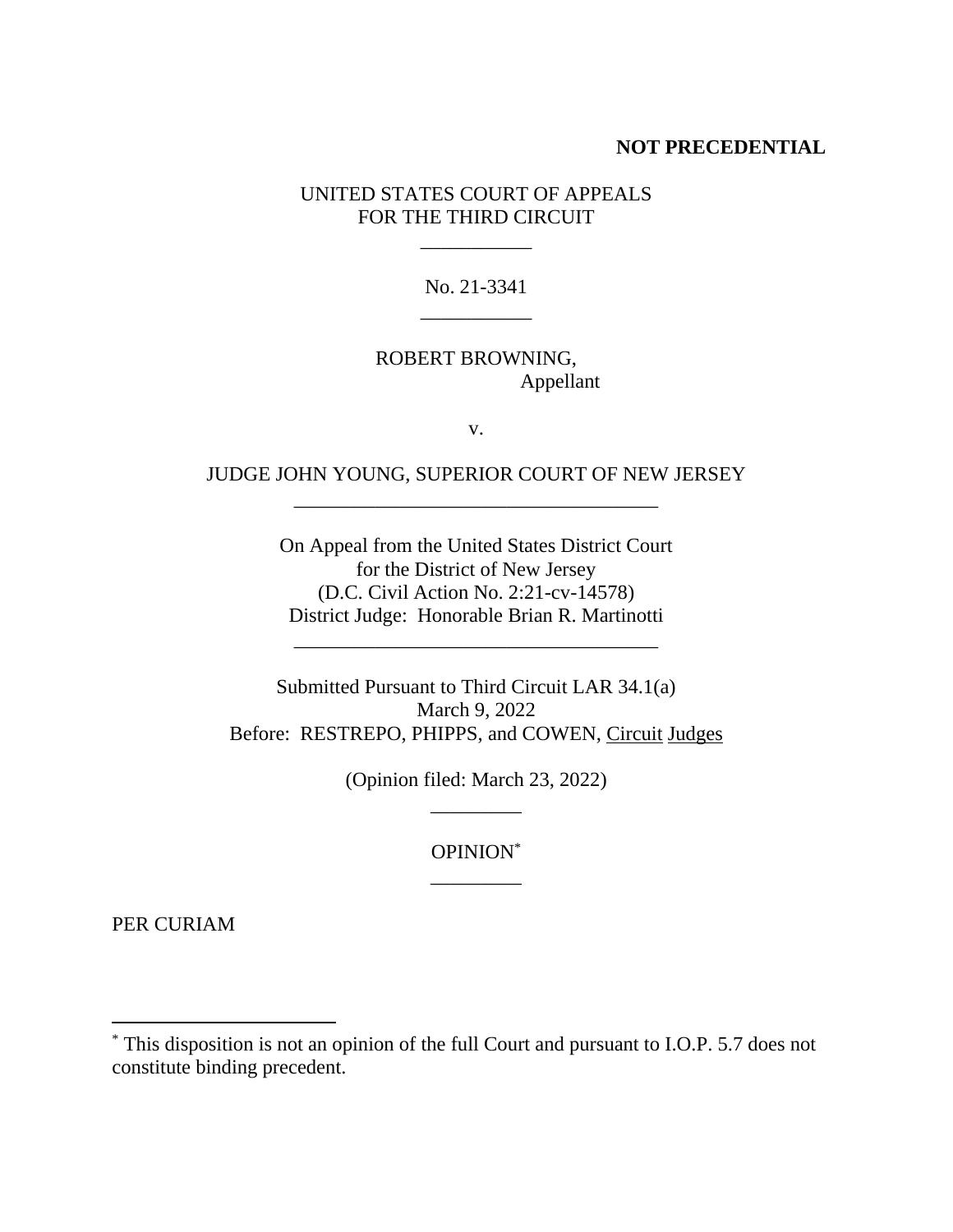### **NOT PRECEDENTIAL**

UNITED STATES COURT OF APPEALS FOR THE THIRD CIRCUIT

\_\_\_\_\_\_\_\_\_\_\_

No. 21-3341 \_\_\_\_\_\_\_\_\_\_\_

## ROBERT BROWNING, Appellant

v.

# JUDGE JOHN YOUNG, SUPERIOR COURT OF NEW JERSEY \_\_\_\_\_\_\_\_\_\_\_\_\_\_\_\_\_\_\_\_\_\_\_\_\_\_\_\_\_\_\_\_\_\_\_\_

On Appeal from the United States District Court for the District of New Jersey (D.C. Civil Action No. 2:21-cv-14578) District Judge: Honorable Brian R. Martinotti

\_\_\_\_\_\_\_\_\_\_\_\_\_\_\_\_\_\_\_\_\_\_\_\_\_\_\_\_\_\_\_\_\_\_\_\_

Submitted Pursuant to Third Circuit LAR 34.1(a) March 9, 2022 Before: RESTREPO, PHIPPS, and COWEN, Circuit Judges

> (Opinion filed: March 23, 2022) \_\_\_\_\_\_\_\_\_

> > OPINION\* \_\_\_\_\_\_\_\_\_

PER CURIAM

<sup>\*</sup> This disposition is not an opinion of the full Court and pursuant to I.O.P. 5.7 does not constitute binding precedent.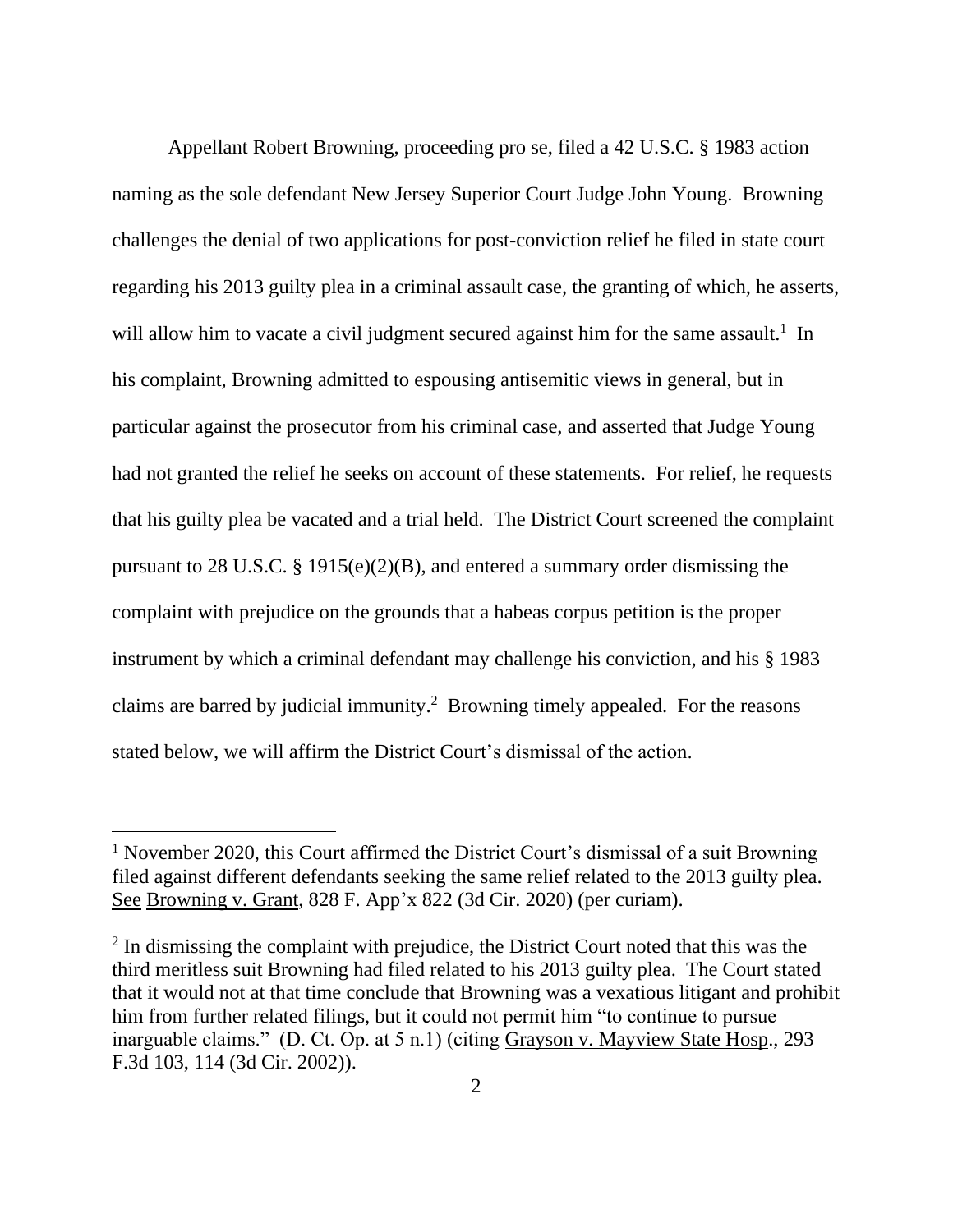Appellant Robert Browning, proceeding pro se, filed a 42 U.S.C. § 1983 action naming as the sole defendant New Jersey Superior Court Judge John Young. Browning challenges the denial of two applications for post-conviction relief he filed in state court regarding his 2013 guilty plea in a criminal assault case, the granting of which, he asserts, will allow him to vacate a civil judgment secured against him for the same assault.<sup>1</sup> In his complaint, Browning admitted to espousing antisemitic views in general, but in particular against the prosecutor from his criminal case, and asserted that Judge Young had not granted the relief he seeks on account of these statements. For relief, he requests that his guilty plea be vacated and a trial held. The District Court screened the complaint pursuant to 28 U.S.C. § 1915(e)(2)(B), and entered a summary order dismissing the complaint with prejudice on the grounds that a habeas corpus petition is the proper instrument by which a criminal defendant may challenge his conviction, and his § 1983 claims are barred by judicial immunity. 2 Browning timely appealed. For the reasons stated below, we will affirm the District Court's dismissal of the action.

<sup>&</sup>lt;sup>1</sup> November 2020, this Court affirmed the District Court's dismissal of a suit Browning filed against different defendants seeking the same relief related to the 2013 guilty plea. See Browning v. Grant, 828 F. App'x 822 (3d Cir. 2020) (per curiam).

<sup>&</sup>lt;sup>2</sup> In dismissing the complaint with prejudice, the District Court noted that this was the third meritless suit Browning had filed related to his 2013 guilty plea. The Court stated that it would not at that time conclude that Browning was a vexatious litigant and prohibit him from further related filings, but it could not permit him "to continue to pursue inarguable claims." (D. Ct. Op. at 5 n.1) (citing Grayson v. Mayview State Hosp., 293 F.3d 103, 114 (3d Cir. 2002)).